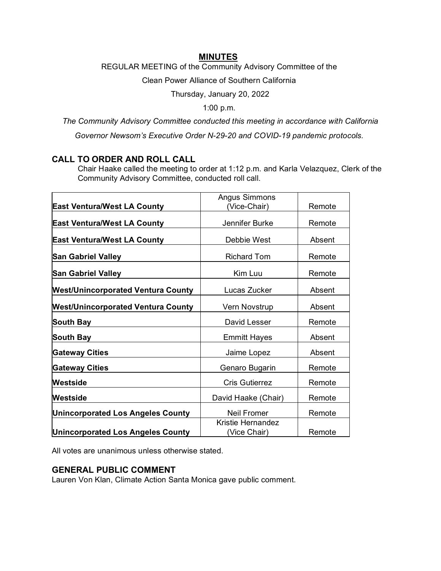### **MINUTES**

REGULAR MEETING of the Community Advisory Committee of the

Clean Power Alliance of Southern California

Thursday, January 20, 2022

1:00 p.m.

*The Community Advisory Committee conducted this meeting in accordance with California* 

*Governor Newsom's Executive Order N-29-20 and COVID-19 pandemic protocols.*

# **CALL TO ORDER AND ROLL CALL**

Chair Haake called the meeting to order at 1:12 p.m. and Karla Velazquez, Clerk of the Community Advisory Committee, conducted roll call.

|                                           | <b>Angus Simmons</b>              |        |
|-------------------------------------------|-----------------------------------|--------|
| <b>East Ventura/West LA County</b>        | (Vice-Chair)                      | Remote |
| <b>East Ventura/West LA County</b>        | Jennifer Burke                    | Remote |
| <b>East Ventura/West LA County</b>        | Debbie West                       | Absent |
| <b>San Gabriel Valley</b>                 | <b>Richard Tom</b>                | Remote |
| <b>San Gabriel Valley</b>                 | Kim Luu                           | Remote |
| <b>West/Unincorporated Ventura County</b> | Lucas Zucker                      | Absent |
| <b>West/Unincorporated Ventura County</b> | Vern Novstrup                     | Absent |
| <b>South Bay</b>                          | David Lesser                      | Remote |
| <b>South Bay</b>                          | <b>Emmitt Hayes</b>               | Absent |
| <b>Gateway Cities</b>                     | Jaime Lopez                       | Absent |
| <b>Gateway Cities</b>                     | Genaro Bugarin                    | Remote |
| Westside                                  | <b>Cris Gutierrez</b>             | Remote |
| Westside                                  | David Haake (Chair)               | Remote |
| <b>Unincorporated Los Angeles County</b>  | <b>Neil Fromer</b>                | Remote |
| <b>Unincorporated Los Angeles County</b>  | Kristie Hernandez<br>(Vice Chair) | Remote |

All votes are unanimous unless otherwise stated.

# **GENERAL PUBLIC COMMENT**

Lauren Von Klan, Climate Action Santa Monica gave public comment.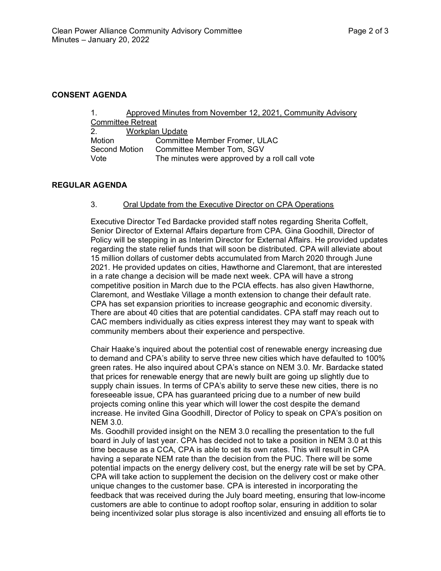#### **CONSENT AGENDA**

| $\sim$ 1                          |  | Approved Minutes from November 12, 2021, Community Advisory |  |
|-----------------------------------|--|-------------------------------------------------------------|--|
| <b>Committee Retreat</b>          |  |                                                             |  |
| Workplan Update<br>2 <sub>1</sub> |  |                                                             |  |
| Motion                            |  | <b>Committee Member Fromer, ULAC</b>                        |  |
| Second Motion                     |  | Committee Member Tom, SGV                                   |  |
| Vote                              |  | The minutes were approved by a roll call vote               |  |

#### **REGULAR AGENDA**

#### 3. Oral Update from the Executive Director on CPA Operations

Executive Director Ted Bardacke provided staff notes regarding Sherita Coffelt, Senior Director of External Affairs departure from CPA. Gina Goodhill, Director of Policy will be stepping in as Interim Director for External Affairs. He provided updates regarding the state relief funds that will soon be distributed. CPA will alleviate about 15 million dollars of customer debts accumulated from March 2020 through June 2021. He provided updates on cities, Hawthorne and Claremont, that are interested in a rate change a decision will be made next week. CPA will have a strong competitive position in March due to the PCIA effects. has also given Hawthorne, Claremont, and Westlake Village a month extension to change their default rate. CPA has set expansion priorities to increase geographic and economic diversity. There are about 40 cities that are potential candidates. CPA staff may reach out to CAC members individually as cities express interest they may want to speak with community members about their experience and perspective.

Chair Haake's inquired about the potential cost of renewable energy increasing due to demand and CPA's ability to serve three new cities which have defaulted to 100% green rates. He also inquired about CPA's stance on NEM 3.0. Mr. Bardacke stated that prices for renewable energy that are newly built are going up slightly due to supply chain issues. In terms of CPA's ability to serve these new cities, there is no foreseeable issue, CPA has guaranteed pricing due to a number of new build projects coming online this year which will lower the cost despite the demand increase. He invited Gina Goodhill, Director of Policy to speak on CPA's position on NEM 3.0.

Ms. Goodhill provided insight on the NEM 3.0 recalling the presentation to the full board in July of last year. CPA has decided not to take a position in NEM 3.0 at this time because as a CCA, CPA is able to set its own rates. This will result in CPA having a separate NEM rate than the decision from the PUC. There will be some potential impacts on the energy delivery cost, but the energy rate will be set by CPA. CPA will take action to supplement the decision on the delivery cost or make other unique changes to the customer base. CPA is interested in incorporating the feedback that was received during the July board meeting, ensuring that low-income customers are able to continue to adopt rooftop solar, ensuring in addition to solar being incentivized solar plus storage is also incentivized and ensuing all efforts tie to